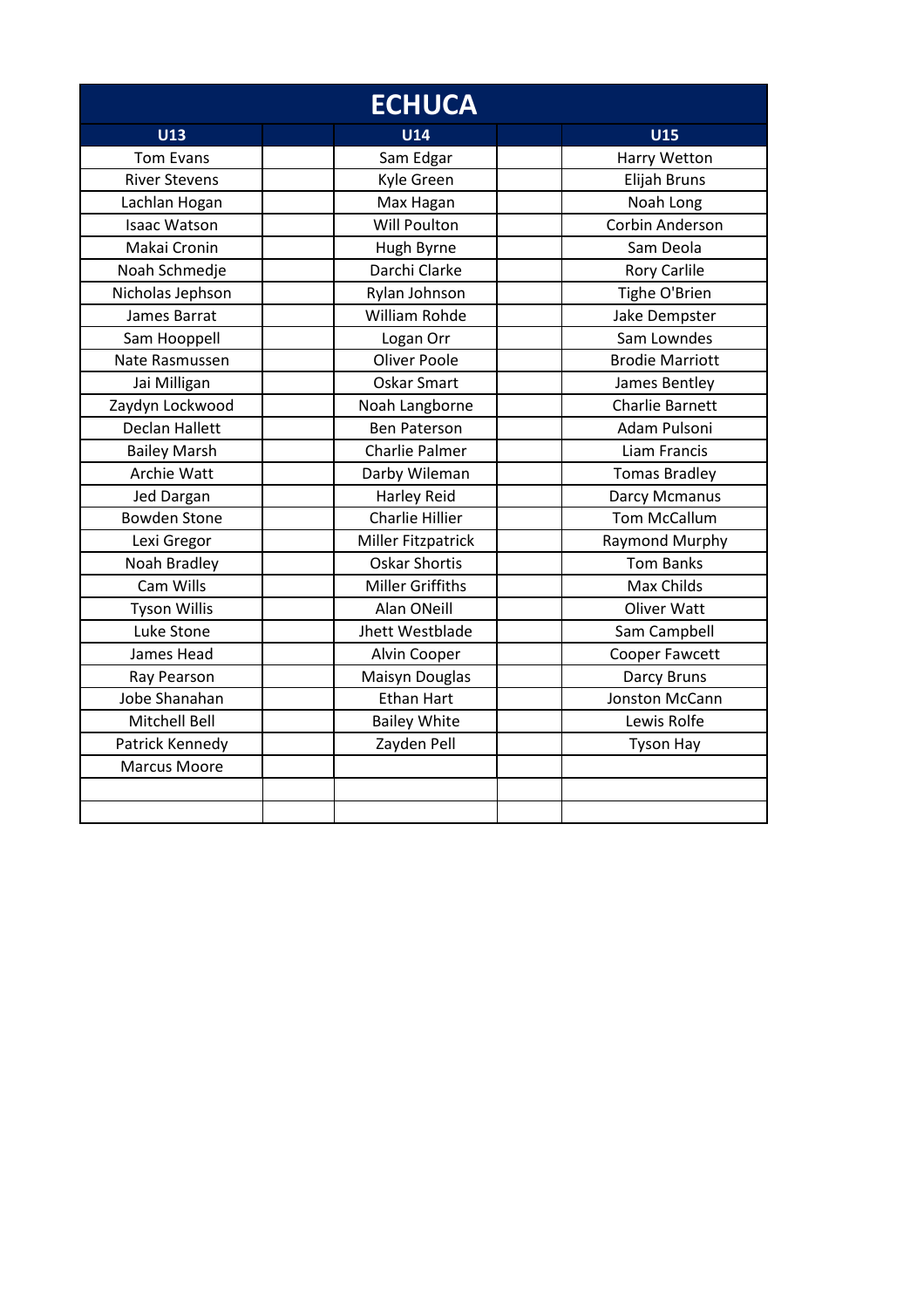| <b>ECHUCA</b>         |                         |                        |
|-----------------------|-------------------------|------------------------|
| U13                   | <b>U14</b>              | <b>U15</b>             |
| <b>Tom Evans</b>      | Sam Edgar               | Harry Wetton           |
| <b>River Stevens</b>  | Kyle Green              | Elijah Bruns           |
| Lachlan Hogan         | Max Hagan               | Noah Long              |
| <b>Isaac Watson</b>   | <b>Will Poulton</b>     | Corbin Anderson        |
| Makai Cronin          | Hugh Byrne              | Sam Deola              |
| Noah Schmedje         | Darchi Clarke           | <b>Rory Carlile</b>    |
| Nicholas Jephson      | Rylan Johnson           | Tighe O'Brien          |
| James Barrat          | <b>William Rohde</b>    | Jake Dempster          |
| Sam Hooppell          | Logan Orr               | Sam Lowndes            |
| Nate Rasmussen        | <b>Oliver Poole</b>     | <b>Brodie Marriott</b> |
| Jai Milligan          | Oskar Smart             | James Bentley          |
| Zaydyn Lockwood       | Noah Langborne          | <b>Charlie Barnett</b> |
| <b>Declan Hallett</b> | <b>Ben Paterson</b>     | Adam Pulsoni           |
| <b>Bailey Marsh</b>   | Charlie Palmer          | <b>Liam Francis</b>    |
| Archie Watt           | Darby Wileman           | <b>Tomas Bradley</b>   |
| Jed Dargan            | <b>Harley Reid</b>      | Darcy Mcmanus          |
| <b>Bowden Stone</b>   | <b>Charlie Hillier</b>  | <b>Tom McCallum</b>    |
| Lexi Gregor           | Miller Fitzpatrick      | Raymond Murphy         |
| Noah Bradley          | <b>Oskar Shortis</b>    | <b>Tom Banks</b>       |
| Cam Wills             | <b>Miller Griffiths</b> | <b>Max Childs</b>      |
| <b>Tyson Willis</b>   | Alan ONeill             | <b>Oliver Watt</b>     |
| Luke Stone            | Jhett Westblade         | Sam Campbell           |
| James Head            | Alvin Cooper            | Cooper Fawcett         |
| Ray Pearson           | Maisyn Douglas          | <b>Darcy Bruns</b>     |
| Jobe Shanahan         | <b>Ethan Hart</b>       | Jonston McCann         |
| Mitchell Bell         | <b>Bailey White</b>     | Lewis Rolfe            |
| Patrick Kennedy       | Zayden Pell             | <b>Tyson Hay</b>       |
| <b>Marcus Moore</b>   |                         |                        |
|                       |                         |                        |
|                       |                         |                        |